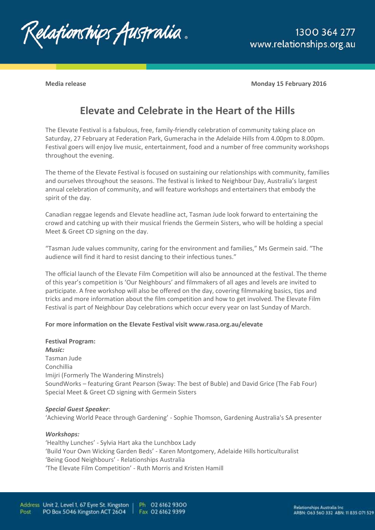

**Media release Monday 15 February 2016**

# **Elevate and Celebrate in the Heart of the Hills**

The Elevate Festival is a fabulous, free, family-friendly celebration of community taking place on Saturday, 27 February at Federation Park, Gumeracha in the Adelaide Hills from 4.00pm to 8.00pm. Festival goers will enjoy live music, entertainment, food and a number of free community workshops throughout the evening.

The theme of the Elevate Festival is focused on sustaining our relationships with community, families and ourselves throughout the seasons. The festival is linked to Neighbour Day, Australia's largest annual celebration of community, and will feature workshops and entertainers that embody the spirit of the day.

Canadian reggae legends and Elevate headline act, Tasman Jude look forward to entertaining the crowd and catching up with their musical friends the Germein Sisters, who will be holding a special Meet & Greet CD signing on the day.

"Tasman Jude values community, caring for the environment and families," Ms Germein said. "The audience will find it hard to resist dancing to their infectious tunes."

The official launch of the Elevate Film Competition will also be announced at the festival. The theme of this year's competition is 'Our Neighbours' and filmmakers of all ages and levels are invited to participate. A free workshop will also be offered on the day, covering filmmaking basics, tips and tricks and more information about the film competition and how to get involved. The Elevate Film Festival is part of Neighbour Day celebrations which occur every year on last Sunday of March.

### **For more information on the Elevate Festival visit www.rasa.org.au/elevate**

**Festival Program:**  *Music:*  Tasman Jude Conchillia Imijri (Formerly The Wandering Minstrels) SoundWorks – featuring Grant Pearson (Sway: The best of Buble) and David Grice (The Fab Four) Special Meet & Greet CD signing with Germein Sisters

#### *Special Guest Speaker*:

'Achieving World Peace through Gardening' - Sophie Thomson, Gardening Australia's SA presenter

#### *Workshops:*

'Healthy Lunches' - Sylvia Hart aka the Lunchbox Lady 'Build Your Own Wicking Garden Beds' - Karen Montgomery, Adelaide Hills horticulturalist 'Being Good Neighbours' - Relationships Australia 'The Elevate Film Competition' - Ruth Morris and Kristen Hamill